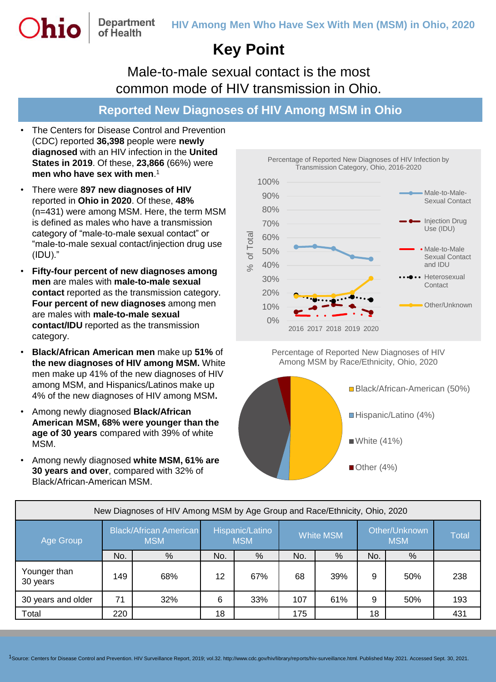## **Key Point**

Male-to-male sexual contact is the most common mode of HIV transmission in Ohio.

## **Reported New Diagnoses of HIV Among MSM in Ohio**

• The Centers for Disease Control and Prevention (CDC) reported **36,398** people were **newly diagnosed** with an HIV infection in the **United States in 2019**. Of these, **23,866** (66%) were **men who have sex with men**. 1

of Health

- There were **897 new diagnoses of HIV**  reported in **Ohio in 2020**. Of these, **48%** (n=431) were among MSM. Here, the term MSM is defined as males who have a transmission category of "male-to-male sexual contact" or "male-to-male sexual contact/injection drug use (IDU)."
- **Fifty-four percent of new diagnoses among men** are males with **male-to-male sexual contact** reported as the transmission category. **Four percent of new diagnoses** among men are males with **male-to-male sexual contact/IDU** reported as the transmission category.
- **Black/African American men** make up **51%** of **the new diagnoses of HIV among MSM.** White men make up 41% of the new diagnoses of HIV among MSM, and Hispanics/Latinos make up 4% of the new diagnoses of HIV among MSM**.**
- Among newly diagnosed **Black/African American MSM, 68% were younger than the age of 30 years** compared with 39% of white MSM.
- Among newly diagnosed **white MSM, 61% are 30 years and over**, compared with 32% of Black/African-American MSM.

Percentage of Reported New Diagnoses of HIV Infection by Transmission Category, Ohio, 2016-2020



Percentage of Reported New Diagnoses of HIV Among MSM by Race/Ethnicity, Ohio, 2020



| New Diagnoses of HIV Among MSM by Age Group and Race/Ethnicity, Ohio, 2020 |                                             |     |                               |     |                  |     |                             |     |              |  |  |
|----------------------------------------------------------------------------|---------------------------------------------|-----|-------------------------------|-----|------------------|-----|-----------------------------|-----|--------------|--|--|
| Age Group                                                                  | <b>Black/African American</b><br><b>MSM</b> |     | Hispanic/Latino<br><b>MSM</b> |     | <b>White MSM</b> |     | Other/Unknown<br><b>MSM</b> |     | <b>Total</b> |  |  |
|                                                                            | No.                                         | %   | No.                           | %   | No.              | %   | No.                         | %   |              |  |  |
| Younger than<br>30 years                                                   | 149                                         | 68% | 12                            | 67% | 68               | 39% | 9                           | 50% | 238          |  |  |
| 30 years and older                                                         | 71                                          | 32% | 6                             | 33% | 107              | 61% | 9                           | 50% | 193          |  |  |
| Total                                                                      | 220                                         |     | 18                            |     | 175              |     | 18                          |     | 431          |  |  |